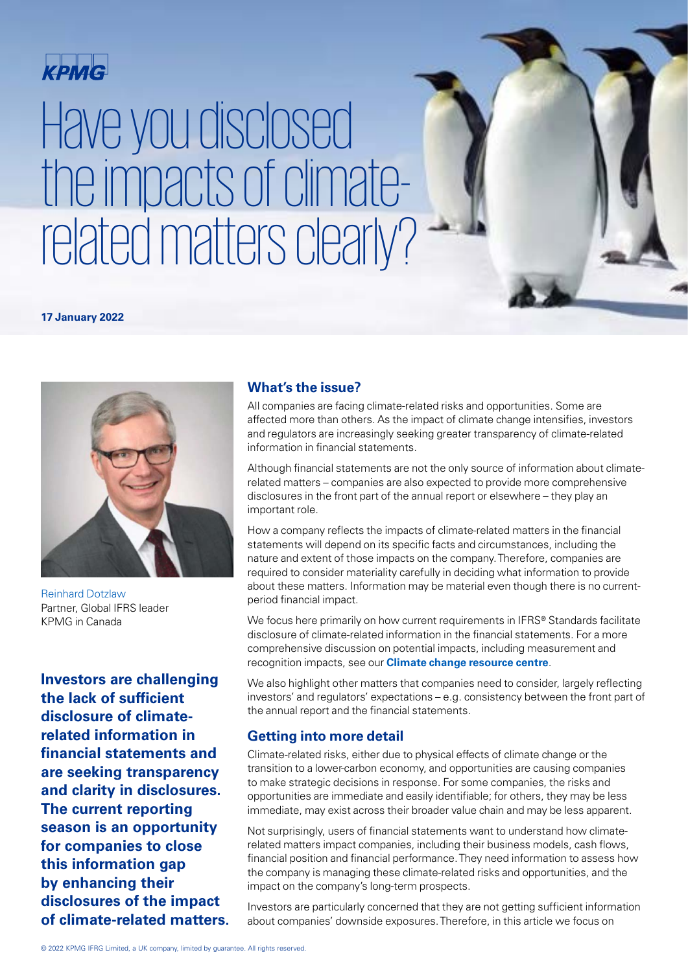

# Have you disclosed the impacts of climaterelated matters clearly?

**17 January 2022**



[Reinhard Dotzlaw](https://home.kpmg/xx/en/home/contacts/d/reinhard-dotzlaw.html) [Partner, Global IFRS leader](https://home.kpmg/xx/en/home/contacts/d/reinhard-dotzlaw.html) [KPMG in Canada](https://home.kpmg/xx/en/home/contacts/d/reinhard-dotzlaw.html)

**Investors are challenging the lack of sufficient disclosure of climaterelated information in financial statements and are seeking transparency and clarity in disclosures. The current reporting season is an opportunity for companies to close this information gap by enhancing their disclosures of the impact of climate-related matters.**

### **What's the issue?**

All companies are facing climate-related risks and opportunities. Some are affected more than others. As the impact of climate change intensifies, investors and regulators are increasingly seeking greater transparency of climate-related information in financial statements.

Have you disclosed the impacts of climate-related matters clearly? | 1

Although financial statements are not the only source of information about climaterelated matters – companies are also expected to provide more comprehensive disclosures in the front part of the annual report or elsewhere – they play an important role.

How a company reflects the impacts of climate-related matters in the financial statements will depend on its specific facts and circumstances, including the nature and extent of those impacts on the company. Therefore, companies are required to consider materiality carefully in deciding what information to provide about these matters. Information may be material even though there is no currentperiod financial impact.

We focus here primarily on how current requirements in IFRS® Standards facilitate disclosure of climate-related information in the financial statements. For a more comprehensive discussion on potential impacts, including measurement and recognition impacts, see our **[Climate change resource centre](https://home.kpmg/xx/en/home/insights/2021/06/climatechange-financial-reporting-resource-centre.html)**.

We also highlight other matters that companies need to consider, largely reflecting investors' and regulators' expectations – e.g. consistency between the front part of the annual report and the financial statements.

### **Getting into more detail**

Climate-related risks, either due to physical effects of climate change or the transition to a lower-carbon economy, and opportunities are causing companies to make strategic decisions in response. For some companies, the risks and opportunities are immediate and easily identifiable; for others, they may be less immediate, may exist across their broader value chain and may be less apparent.

Not surprisingly, users of financial statements want to understand how climaterelated matters impact companies, including their business models, cash flows, financial position and financial performance. They need information to assess how the company is managing these climate-related risks and opportunities, and the impact on the company's long-term prospects.

Investors are particularly concerned that they are not getting sufficient information about companies' downside exposures. Therefore, in this article we focus on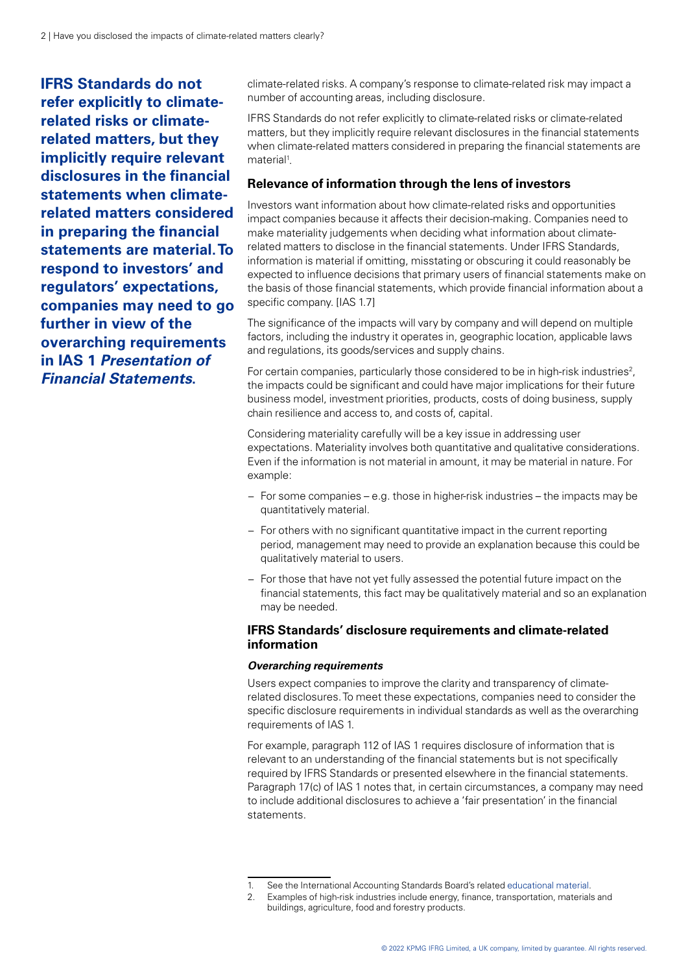**IFRS Standards do not refer explicitly to climaterelated risks or climaterelated matters, but they implicitly require relevant disclosures in the financial statements when climaterelated matters considered in preparing the financial statements are material. To respond to investors' and regulators' expectations, companies may need to go further in view of the overarching requirements in IAS 1 Presentation of Financial Statements.**

climate-related risks. A company's response to climate-related risk may impact a number of accounting areas, including disclosure.

IFRS Standards do not refer explicitly to climate-related risks or climate-related matters, but they implicitly require relevant disclosures in the financial statements when climate-related matters considered in preparing the financial statements are material<sup>1</sup>.

#### **Relevance of information through the lens of investors**

Investors want information about how climate-related risks and opportunities impact companies because it affects their decision-making. Companies need to make materiality judgements when deciding what information about climaterelated matters to disclose in the financial statements. Under IFRS Standards, information is material if omitting, misstating or obscuring it could reasonably be expected to influence decisions that primary users of financial statements make on the basis of those financial statements, which provide financial information about a specific company. [IAS 1.7]

The significance of the impacts will vary by company and will depend on multiple factors, including the industry it operates in, geographic location, applicable laws and regulations, its goods/services and supply chains.

For certain companies, particularly those considered to be in high-risk industries<sup>2</sup>, the impacts could be significant and could have major implications for their future business model, investment priorities, products, costs of doing business, supply chain resilience and access to, and costs of, capital.

Considering materiality carefully will be a key issue in addressing user expectations. Materiality involves both quantitative and qualitative considerations. Even if the information is not material in amount, it may be material in nature. For example:

- − For some companies e.g. those in higher-risk industries the impacts may be quantitatively material.
- − For others with no significant quantitative impact in the current reporting period, management may need to provide an explanation because this could be qualitatively material to users.
- − For those that have not yet fully assessed the potential future impact on the financial statements, this fact may be qualitatively material and so an explanation may be needed.

#### **IFRS Standards' disclosure requirements and climate-related information**

#### *Overarching requirements*

Users expect companies to improve the clarity and transparency of climaterelated disclosures. To meet these expectations, companies need to consider the specific disclosure requirements in individual standards as well as the overarching requirements of IAS 1.

For example, paragraph 112 of IAS 1 requires disclosure of information that is relevant to an understanding of the financial statements but is not specifically required by IFRS Standards or presented elsewhere in the financial statements. Paragraph 17(c) of IAS 1 notes that, in certain circumstances, a company may need to include additional disclosures to achieve a 'fair presentation' in the financial statements.

See the International Accounting Standards Board's related [educational material](https://www.ifrs.org/content/dam/ifrs/supporting-implementation/documents/effects-of-climate-related-matters-on-financial-statements.pdf).

Examples of high-risk industries include energy, finance, transportation, materials and buildings, agriculture, food and forestry products.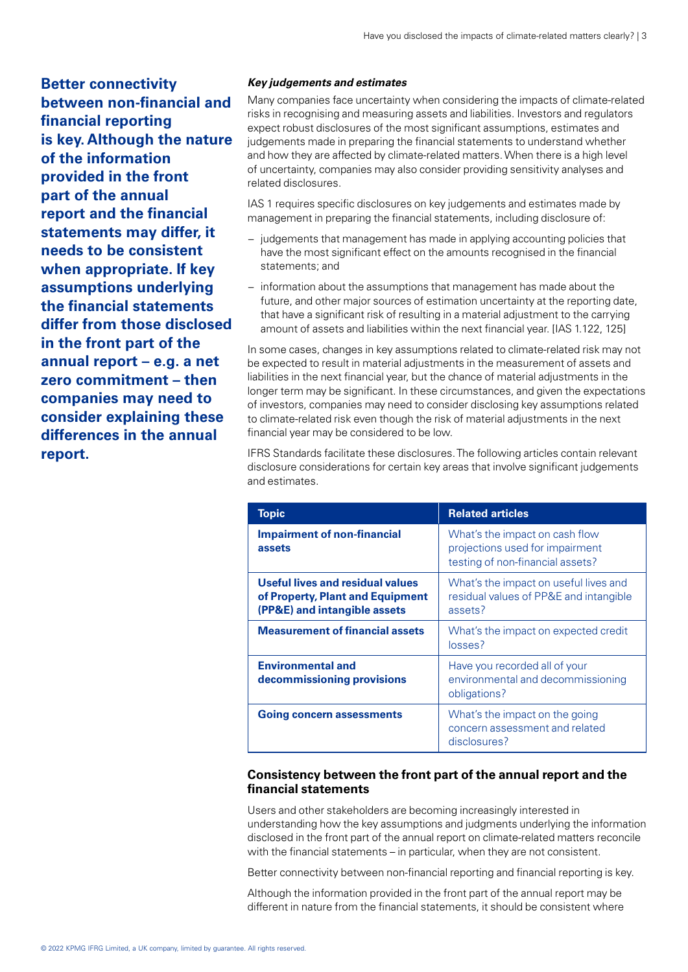**Better connectivity between non-financial and financial reporting is key. Although the nature of the information provided in the front part of the annual report and the financial statements may differ, it needs to be consistent when appropriate. If key assumptions underlying the financial statements differ from those disclosed in the front part of the annual report – e.g. a net zero commitment – then companies may need to consider explaining these differences in the annual report.**

#### *Key judgements and estimates*

Many companies face uncertainty when considering the impacts of climate-related risks in recognising and measuring assets and liabilities. Investors and regulators expect robust disclosures of the most significant assumptions, estimates and judgements made in preparing the financial statements to understand whether and how they are affected by climate-related matters. When there is a high level of uncertainty, companies may also consider providing sensitivity analyses and related disclosures.

IAS 1 requires specific disclosures on key judgements and estimates made by management in preparing the financial statements, including disclosure of:

- − judgements that management has made in applying accounting policies that have the most significant effect on the amounts recognised in the financial statements; and
- − information about the assumptions that management has made about the future, and other major sources of estimation uncertainty at the reporting date, that have a significant risk of resulting in a material adjustment to the carrying amount of assets and liabilities within the next financial year. [IAS 1.122, 125]

In some cases, changes in key assumptions related to climate-related risk may not be expected to result in material adjustments in the measurement of assets and liabilities in the next financial year, but the chance of material adjustments in the longer term may be significant. In these circumstances, and given the expectations of investors, companies may need to consider disclosing key assumptions related to climate-related risk even though the risk of material adjustments in the next financial year may be considered to be low.

IFRS Standards facilitate these disclosures. The following articles contain relevant disclosure considerations for certain key areas that involve significant judgements and estimates.

| <b>Topic</b>                                                                                                | <b>Related articles</b>                                                                               |
|-------------------------------------------------------------------------------------------------------------|-------------------------------------------------------------------------------------------------------|
| <b>Impairment of non-financial</b><br>assets                                                                | What's the impact on cash flow<br>projections used for impairment<br>testing of non-financial assets? |
| <b>Useful lives and residual values</b><br>of Property, Plant and Equipment<br>(PP&E) and intangible assets | What's the impact on useful lives and<br>residual values of PP&E and intangible<br>assets?            |
| <b>Measurement of financial assets</b>                                                                      | What's the impact on expected credit<br>losses?                                                       |
| <b>Environmental and</b><br>decommissioning provisions                                                      | Have you recorded all of your<br>environmental and decommissioning<br>obligations?                    |
| <b>Going concern assessments</b>                                                                            | What's the impact on the going<br>concern assessment and related<br>disclosures?                      |

#### **Consistency between the front part of the annual report and the financial statements**

Users and other stakeholders are becoming increasingly interested in understanding how the key assumptions and judgments underlying the information disclosed in the front part of the annual report on climate-related matters reconcile with the financial statements – in particular, when they are not consistent.

Better connectivity between non-financial reporting and financial reporting is key.

Although the information provided in the front part of the annual report may be different in nature from the financial statements, it should be consistent where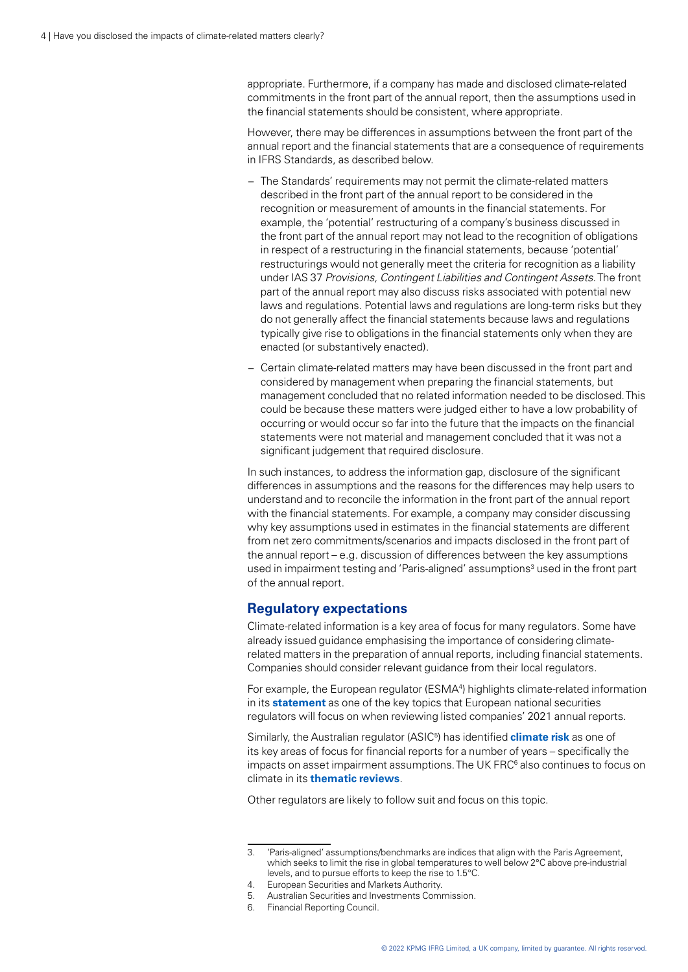appropriate. Furthermore, if a company has made and disclosed climate-related commitments in the front part of the annual report, then the assumptions used in the financial statements should be consistent, where appropriate.

However, there may be differences in assumptions between the front part of the annual report and the financial statements that are a consequence of requirements in IFRS Standards, as described below.

- − The Standards' requirements may not permit the climate-related matters described in the front part of the annual report to be considered in the recognition or measurement of amounts in the financial statements. For example, the 'potential' restructuring of a company's business discussed in the front part of the annual report may not lead to the recognition of obligations in respect of a restructuring in the financial statements, because 'potential' restructurings would not generally meet the criteria for recognition as a liability under IAS 37 *Provisions, Contingent Liabilities and Contingent Assets*. The front part of the annual report may also discuss risks associated with potential new laws and regulations. Potential laws and regulations are long-term risks but they do not generally affect the financial statements because laws and regulations typically give rise to obligations in the financial statements only when they are enacted (or substantively enacted).
- − Certain climate-related matters may have been discussed in the front part and considered by management when preparing the financial statements, but management concluded that no related information needed to be disclosed. This could be because these matters were judged either to have a low probability of occurring or would occur so far into the future that the impacts on the financial statements were not material and management concluded that it was not a significant judgement that required disclosure.

In such instances, to address the information gap, disclosure of the significant differences in assumptions and the reasons for the differences may help users to understand and to reconcile the information in the front part of the annual report with the financial statements. For example, a company may consider discussing why key assumptions used in estimates in the financial statements are different from net zero commitments/scenarios and impacts disclosed in the front part of the annual report – e.g. discussion of differences between the key assumptions used in impairment testing and 'Paris-aligned' assumptions<sup>3</sup> used in the front part of the annual report.

#### **Regulatory expectations**

Climate-related information is a key area of focus for many regulators. Some have already issued guidance emphasising the importance of considering climaterelated matters in the preparation of annual reports, including financial statements. Companies should consider relevant guidance from their local regulators.

For example, the European regulator (ESMA<sup>4</sup>) highlights climate-related information in its **[statement](https://home.kpmg/xx/en/home/insights/2021/11/esma-enforcement-priorities-2021.html)** as one of the key topics that European national securities regulators will focus on when reviewing listed companies' 2021 annual reports.

Similarly, the Australian regulator (ASIC5 ) has identified **[climate risk](https://asic.gov.au/about-asic/news-centre/find-a-media-release/2019-releases/19-341mr-financial-reporting-focuses-for-31-december-2019/)** as one of its key areas of focus for financial reports for a number of years – specifically the impacts on asset impairment assumptions. The UK FRC<sup>6</sup> also continues to focus on climate in its **[thematic reviews](https://www.frc.org.uk/getattachment/ab63c220-6e2b-47e6-924e-8f369512e0a6/Summary-FINAL.pdf)**.

Other regulators are likely to follow suit and focus on this topic.

<sup>3.</sup> 'Paris-aligned' assumptions/benchmarks are indices that align with the Paris Agreement, which seeks to limit the rise in global temperatures to well below 2°C above pre-industrial levels, and to pursue efforts to keep the rise to 1.5°C.

<sup>4.</sup> European Securities and Markets Authority.

<sup>5.</sup> Australian Securities and Investments Commission.

<sup>6.</sup> Financial Reporting Council.